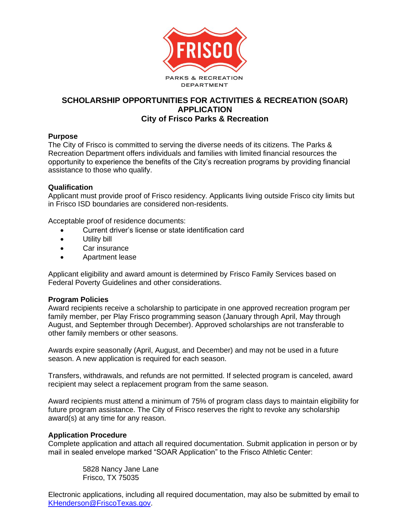

## **SCHOLARSHIP OPPORTUNITIES FOR ACTIVITIES & RECREATION (SOAR) APPLICATION City of Frisco Parks & Recreation**

## **Purpose**

The City of Frisco is committed to serving the diverse needs of its citizens. The Parks & Recreation Department offers individuals and families with limited financial resources the opportunity to experience the benefits of the City's recreation programs by providing financial assistance to those who qualify.

## **Qualification**

Applicant must provide proof of Frisco residency. Applicants living outside Frisco city limits but in Frisco ISD boundaries are considered non-residents.

Acceptable proof of residence documents:

- Current driver's license or state identification card
- Utility bill
- Car insurance
- Apartment lease

Applicant eligibility and award amount is determined by Frisco Family Services based on Federal Poverty Guidelines and other considerations.

#### **Program Policies**

Award recipients receive a scholarship to participate in one approved recreation program per family member, per Play Frisco programming season (January through April, May through August, and September through December). Approved scholarships are not transferable to other family members or other seasons.

Awards expire seasonally (April, August, and December) and may not be used in a future season. A new application is required for each season.

Transfers, withdrawals, and refunds are not permitted. If selected program is canceled, award recipient may select a replacement program from the same season.

Award recipients must attend a minimum of 75% of program class days to maintain eligibility for future program assistance. The City of Frisco reserves the right to revoke any scholarship award(s) at any time for any reason.

#### **Application Procedure**

Complete application and attach all required documentation. Submit application in person or by mail in sealed envelope marked "SOAR Application" to the Frisco Athletic Center:

> 5828 Nancy Jane Lane Frisco, TX 75035

Electronic applications, including all required documentation, may also be submitted by email to [KHenderson@FriscoTexas.gov.](mailto:KHenderson@FriscoTexas.gov)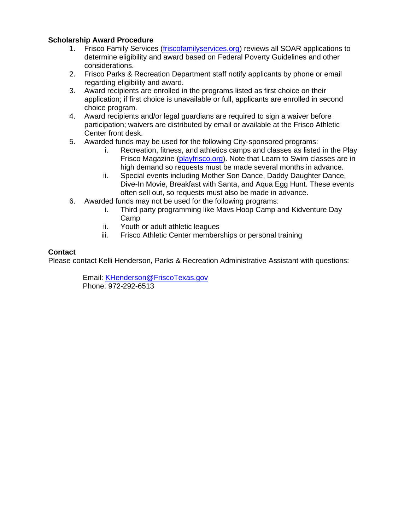## **Scholarship Award Procedure**

- 1. Frisco Family Services [\(friscofamilyservices.org\)](http://friscofamilyservices.org/) reviews all SOAR applications to determine eligibility and award based on Federal Poverty Guidelines and other considerations.
- 2. Frisco Parks & Recreation Department staff notify applicants by phone or email regarding eligibility and award.
- 3. Award recipients are enrolled in the programs listed as first choice on their application; if first choice is unavailable or full, applicants are enrolled in second choice program.
- 4. Award recipients and/or legal guardians are required to sign a waiver before participation; waivers are distributed by email or available at the Frisco Athletic Center front desk.
- 5. Awarded funds may be used for the following City-sponsored programs:
	- i. Recreation, fitness, and athletics camps and classes as listed in the Play Frisco Magazine [\(playfrisco.org\)](http://www.playfrisco.org/). Note that Learn to Swim classes are in high demand so requests must be made several months in advance.
	- ii. Special events including Mother Son Dance, Daddy Daughter Dance, Dive-In Movie, Breakfast with Santa, and Aqua Egg Hunt. These events often sell out, so requests must also be made in advance.
- 6. Awarded funds may not be used for the following programs:
	- i. Third party programming like Mavs Hoop Camp and Kidventure Day Camp
	- ii. Youth or adult athletic leagues
	- iii. Frisco Athletic Center memberships or personal training

## **Contact**

Please contact Kelli Henderson, Parks & Recreation Administrative Assistant with questions:

Email: [KHenderson@FriscoTexas.gov](mailto:KHenderson@FriscoTexas.gov) Phone: 972-292-6513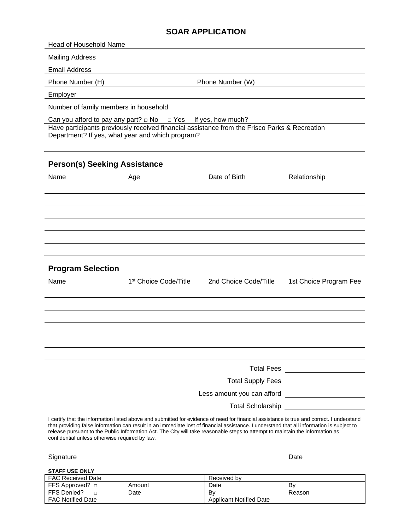## **SOAR APPLICATION**

Head of Household Name

Mailing Address

Email Address

Phone Number (H) Phone Number (W)

Employer

Number of family members in household

Can you afford to pay any part?  $\Box$  No  $\Box$  Yes If yes, how much?

Have participants previously received financial assistance from the Frisco Parks & Recreation Department? If yes, what year and which program?

## **Person(s) Seeking Assistance**

| Name                     | Age                               | Date of Birth         | Relationship           |
|--------------------------|-----------------------------------|-----------------------|------------------------|
|                          |                                   |                       |                        |
|                          |                                   |                       |                        |
|                          |                                   |                       |                        |
|                          |                                   |                       |                        |
|                          |                                   |                       |                        |
|                          |                                   |                       |                        |
| <b>Program Selection</b> |                                   |                       |                        |
| Name                     | 1 <sup>st</sup> Choice Code/Title | 2nd Choice Code/Title | 1st Choice Program Fee |
|                          |                                   |                       |                        |
|                          |                                   |                       |                        |
|                          |                                   |                       |                        |
|                          |                                   |                       |                        |
|                          |                                   |                       |                        |
|                          |                                   |                       |                        |

Total Fees Total Supply Fees Less amount you can afford Total Scholarship \_\_\_\_\_\_\_\_\_\_\_\_\_\_\_

I certify that the information listed above and submitted for evidence of need for financial assistance is true and correct. I understand that providing false information can result in an immediate lost of financial assistance. I understand that all information is subject to release pursuant to the Public Information Act. The City will take reasonable steps to attempt to maintain the information as confidential unless otherwise required by law.

| $\sim$<br>onature<br>siar | Date |
|---------------------------|------|
|                           |      |

**STAFF USE ONLY**

| FAC Received Date        |        | Received by                    |        |
|--------------------------|--------|--------------------------------|--------|
| FFS Approved?            | Amount | Date                           | B٧     |
| FFS Denied?              | Date   | B٧                             | Reason |
| <b>FAC Notified Date</b> |        | <b>Applicant Notified Date</b> |        |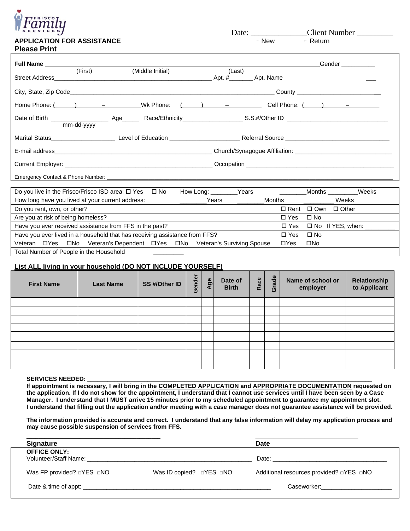

## **APPLICATION FOR ASSISTANCE** □ □ New **Please Print**

Date:  $\frac{\text{Client Number}}{\Box \text{New}}$ 

| Full Name                                                                                                     |            |                  |        |                                                                                                                                                                                                                                           | Gender and the state of the state of the state of the state of the state of the state of the state of the state of the state of the state of the state of the state of the state of the state of the state of the state of the |
|---------------------------------------------------------------------------------------------------------------|------------|------------------|--------|-------------------------------------------------------------------------------------------------------------------------------------------------------------------------------------------------------------------------------------------|--------------------------------------------------------------------------------------------------------------------------------------------------------------------------------------------------------------------------------|
| <b>Street Address</b>                                                                                         | (First)    | (Middle Initial) | (Last) |                                                                                                                                                                                                                                           |                                                                                                                                                                                                                                |
|                                                                                                               |            |                  |        |                                                                                                                                                                                                                                           |                                                                                                                                                                                                                                |
|                                                                                                               |            |                  |        |                                                                                                                                                                                                                                           | County __________________________                                                                                                                                                                                              |
|                                                                                                               |            |                  |        | Home Phone: ( ) - Wk Phone: ( ) - Cell Phone: ( ) -                                                                                                                                                                                       |                                                                                                                                                                                                                                |
|                                                                                                               |            |                  |        |                                                                                                                                                                                                                                           |                                                                                                                                                                                                                                |
|                                                                                                               | mm-dd-yyyy |                  |        |                                                                                                                                                                                                                                           |                                                                                                                                                                                                                                |
|                                                                                                               |            |                  |        | Marital Status <b>Example 20</b> Increment and Level of Education <b>Contract Contract Contract Contract Contract Contract Contract Contract Contract Contract Contract Contract Contract Contract Contract Contract Contract Contrac</b> |                                                                                                                                                                                                                                |
| E-mail address experience and the contract of the contract of the contract of the contract of the contract of |            |                  |        |                                                                                                                                                                                                                                           |                                                                                                                                                                                                                                |
|                                                                                                               |            |                  |        |                                                                                                                                                                                                                                           |                                                                                                                                                                                                                                |
|                                                                                                               |            |                  |        |                                                                                                                                                                                                                                           |                                                                                                                                                                                                                                |

Emergency Contact & Phone Number:

|                                                                                               | Do you live in the Frisco/Frisco ISD area: □ Yes                           | ⊟ No |  | How Long: | Years |               | Months       | Weeks         |
|-----------------------------------------------------------------------------------------------|----------------------------------------------------------------------------|------|--|-----------|-------|---------------|--------------|---------------|
|                                                                                               | How long have you lived at your current address:                           |      |  | Years     |       | Months        |              | Weeks         |
| Do you rent, own, or other?                                                                   |                                                                            |      |  |           |       | $\Box$ Rent   |              | □ Own □ Other |
| Are you at risk of being homeless?                                                            |                                                                            |      |  |           |       | $\square$ Yes | $\square$ No |               |
| Have you ever received assistance from FFS in the past?<br>$\Box$ Yes $\Box$ No If YES, when: |                                                                            |      |  |           |       |               |              |               |
|                                                                                               | Have you ever lived in a household that has receiving assistance from FFS? |      |  |           |       | $\Box$ Yes    | $\Box$ No    |               |
| $\Box$ Yes<br>Veteran                                                                         | □No Veteran's Dependent □Yes □No Veteran's Surviving Spouse                |      |  |           |       | $\Box Y$ es   | □No          |               |
| Total Number of People in the Household                                                       |                                                                            |      |  |           |       |               |              |               |

#### **List ALL living in your household (DO NOT INCLUDE YOURSELF)**

| <b>First Name</b> | <b>Last Name</b> | SS #/Other ID | Gender | Age | Date of<br><b>Birth</b> | Race | rade<br>O | Name of school or<br>employer | <b>Relationship<br/>to Applicant</b> |
|-------------------|------------------|---------------|--------|-----|-------------------------|------|-----------|-------------------------------|--------------------------------------|
|                   |                  |               |        |     |                         |      |           |                               |                                      |
|                   |                  |               |        |     |                         |      |           |                               |                                      |
|                   |                  |               |        |     |                         |      |           |                               |                                      |
|                   |                  |               |        |     |                         |      |           |                               |                                      |
|                   |                  |               |        |     |                         |      |           |                               |                                      |
|                   |                  |               |        |     |                         |      |           |                               |                                      |
|                   |                  |               |        |     |                         |      |           |                               |                                      |
|                   |                  |               |        |     |                         |      |           |                               |                                      |

#### SERVICES NEEDED:

**If appointment is necessary, I will bring in the COMPLETED APPLICATION and APPROPRIATE DOCUMENTATION requested on the application. If I do not show for the appointment, I understand that I cannot use services until I have been seen by a Case Manager. I understand that I MUST arrive 15 minutes prior to my scheduled appointment to guarantee my appointment slot. I understand that filling out the application and/or meeting with a case manager does not guarantee assistance will be provided.** 

**The information provided is accurate and correct. I understand that any false information will delay my application process and may cause possible suspension of services from FFS.**

| <b>Signature</b>                                                   |                                     | <b>Date</b>                                                                                                                                                                                                                    |
|--------------------------------------------------------------------|-------------------------------------|--------------------------------------------------------------------------------------------------------------------------------------------------------------------------------------------------------------------------------|
| <b>OFFICE ONLY:</b><br>Volunteer/Staff Name: Volunteer/Staff Name: |                                     | Date: the contract of the contract of the contract of the contract of the contract of the contract of the contract of the contract of the contract of the contract of the contract of the contract of the contract of the cont |
| Was FP provided? $\Box$ YES $\Box$ NO                              | Was ID copied? $\Box$ YES $\Box$ NO | Additional resources provided? □YES □NO                                                                                                                                                                                        |
|                                                                    |                                     |                                                                                                                                                                                                                                |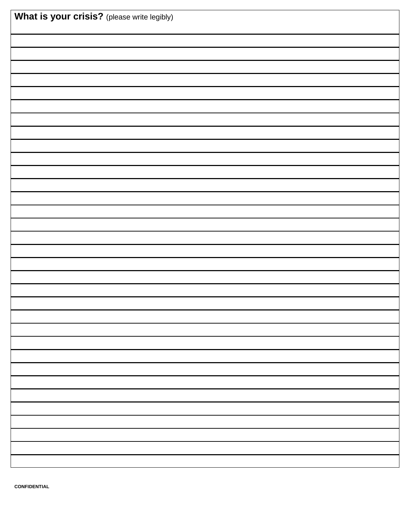| What is your crisis? (please write legibly) |  |  |  |  |
|---------------------------------------------|--|--|--|--|
|                                             |  |  |  |  |
|                                             |  |  |  |  |
|                                             |  |  |  |  |
|                                             |  |  |  |  |
|                                             |  |  |  |  |
|                                             |  |  |  |  |
|                                             |  |  |  |  |
|                                             |  |  |  |  |
|                                             |  |  |  |  |
|                                             |  |  |  |  |
|                                             |  |  |  |  |
|                                             |  |  |  |  |
|                                             |  |  |  |  |
|                                             |  |  |  |  |
|                                             |  |  |  |  |
|                                             |  |  |  |  |
|                                             |  |  |  |  |
|                                             |  |  |  |  |
|                                             |  |  |  |  |
|                                             |  |  |  |  |
|                                             |  |  |  |  |
|                                             |  |  |  |  |
|                                             |  |  |  |  |
|                                             |  |  |  |  |
|                                             |  |  |  |  |
|                                             |  |  |  |  |
|                                             |  |  |  |  |
|                                             |  |  |  |  |
|                                             |  |  |  |  |
|                                             |  |  |  |  |
|                                             |  |  |  |  |
|                                             |  |  |  |  |
|                                             |  |  |  |  |

**CONFIDENTIAL**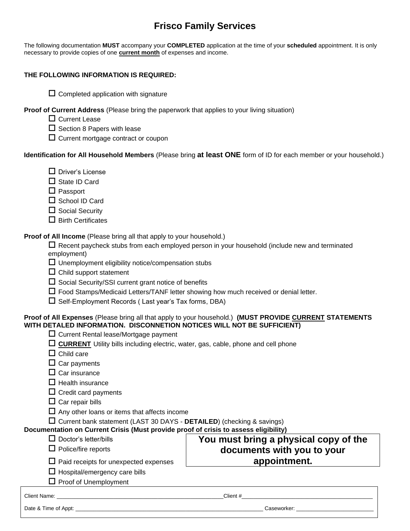## **Frisco Family Services**

The following documentation **MUST** accompany your **COMPLETED** application at the time of your **scheduled** appointment. It is only necessary to provide copies of one **current month** of expenses and income.

### **THE FOLLOWING INFORMATION IS REQUIRED:**

 $\square$  Completed application with signature

**Proof of Current Address** (Please bring the paperwork that applies to your living situation)

- □ Current Lease
- $\square$  Section 8 Papers with lease
- $\square$  Current mortgage contract or coupon

**Identification for All Household Members** (Please bring **at least ONE** form of ID for each member or your household.)

- $\Box$  Driver's License
- $\square$  State ID Card
- $\Box$  Passport
- $\square$  School ID Card
- $\square$  Social Security
- $\square$  Birth Certificates

**Proof of All Income** (Please bring all that apply to your household.)

 $\Box$  Recent paycheck stubs from each employed person in your household (include new and terminated employment)

 $\Box$  Unemployment eligibility notice/compensation stubs

- $\square$  Child support statement
- $\square$  Social Security/SSI current grant notice of benefits
- Food Stamps/Medicaid Letters/TANF letter showing how much received or denial letter.
- $\square$  Self-Employment Records ( Last year's Tax forms, DBA)

#### **Proof of All Expenses** (Please bring all that apply to your household.) **(MUST PROVIDE CURRENT STATEMENTS WITH DETALED INFORMATION. DISCONNETION NOTICES WILL NOT BE SUFFICIENT)**

- $\square$  Current Rental lease/Mortgage payment
- **CURRENT** Utility bills including electric, water, gas, cable, phone and cell phone
- $\Box$  Child care
- $\square$  Car payments
- $\square$  Car insurance
- $\Box$  Health insurance
- $\square$  Credit card payments
- $\square$  Car repair bills
- $\Box$  Any other loans or items that affects income

Current bank statement (LAST 30 DAYS - **DETAILED**) (checking & savings)

**Documentation on Current Crisis (Must provide proof of crisis to assess eligibility)**

- Doctor's letter/bills **You must bring a physical copy of the**
- $\Box$  Police/fire reports
- $\square$  Paid receipts for unexpected expenses
- $\Box$  Hospital/emergency care bills

 $\Pi$  Proof of Unemployment

**documents with you to your appointment.**

| $\Box$ Proof of Unemployment |             |
|------------------------------|-------------|
| Client Name:                 | Client #    |
| Date & Time of Appt:         | Caseworker: |
|                              |             |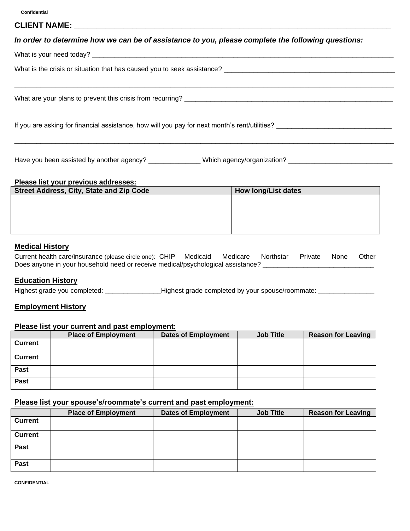#### **CLIENT NAME: \_\_\_\_\_\_\_\_\_\_\_\_\_\_\_\_\_\_\_\_\_\_\_\_\_\_\_\_\_\_\_\_\_\_\_\_\_\_\_\_\_\_\_\_\_\_\_\_\_\_\_\_\_\_\_\_\_\_\_\_\_\_\_\_\_\_\_\_\_\_\_**

#### *In order to determine how we can be of assistance to you, please complete the following questions:*

\_\_\_\_\_\_\_\_\_\_\_\_\_\_\_\_\_\_\_\_\_\_\_\_\_\_\_\_\_\_\_\_\_\_\_\_\_\_\_\_\_\_\_\_\_\_\_\_\_\_\_\_\_\_\_\_\_\_\_\_\_\_\_\_\_\_\_\_\_\_\_\_\_\_\_\_\_\_\_\_\_\_\_\_\_\_\_\_\_\_\_\_\_\_\_\_\_\_\_\_\_\_

\_\_\_\_\_\_\_\_\_\_\_\_\_\_\_\_\_\_\_\_\_\_\_\_\_\_\_\_\_\_\_\_\_\_\_\_\_\_\_\_\_\_\_\_\_\_\_\_\_\_\_\_\_\_\_\_\_\_\_\_\_\_\_\_\_\_\_\_\_\_\_\_\_\_\_\_\_\_\_\_\_\_\_\_\_\_\_\_\_\_\_\_\_\_\_\_\_\_\_\_\_\_\_\_\_\_\_\_\_\_\_\_\_\_\_\_\_\_\_\_\_\_\_\_\_\_\_

\_\_\_\_\_\_\_\_\_\_\_\_\_\_\_\_\_\_\_\_\_\_\_\_\_\_\_\_\_\_\_\_\_\_\_\_\_\_\_\_\_\_\_\_\_\_\_\_\_\_\_\_\_\_\_\_\_\_\_\_\_\_\_\_\_\_\_\_\_\_\_\_\_\_\_\_\_\_\_\_\_\_\_\_\_\_\_\_\_\_\_\_\_\_\_\_\_\_\_\_\_\_

What is your need today? \_\_\_\_\_\_\_\_\_\_\_\_\_\_\_\_\_\_\_\_\_\_\_\_\_\_\_\_\_\_\_\_\_\_\_\_\_\_\_\_\_\_\_\_\_\_\_\_\_\_\_\_\_\_\_\_\_\_\_\_\_\_\_\_\_\_\_\_\_\_\_\_\_\_\_\_\_\_\_\_\_

What is the crisis or situation that has caused you to seek assistance?

What are your plans to prevent this crisis from recurring? \_\_\_\_\_\_\_\_\_\_\_\_\_\_\_\_\_\_\_\_\_\_\_\_\_\_\_\_\_\_\_\_\_\_\_\_\_\_\_\_\_\_\_\_\_\_\_\_\_\_\_\_\_\_\_\_

If you are asking for financial assistance, how will you pay for next month's rent/utilities? \_\_\_\_\_\_\_\_\_\_\_\_\_\_\_

Have you been assisted by another agency? \_\_\_\_\_\_\_\_\_\_\_\_\_\_\_Which agency/organization? \_\_\_\_\_\_\_\_\_\_\_\_\_\_\_\_\_\_\_\_\_\_\_\_\_\_

#### **Please list your previous addresses:**

| <b>Street Address, City, State and Zip Code</b> | <b>How long/List dates</b> |
|-------------------------------------------------|----------------------------|
|                                                 |                            |
|                                                 |                            |
|                                                 |                            |
|                                                 |                            |
|                                                 |                            |

## **Medical History**

Current health care/insurance (please circle one): CHIP Medicaid Medicare Northstar Private None Other Does anyone in your household need or receive medical/psychological assistance?

#### **Education History**

Highest grade you completed: \_\_\_\_\_\_\_\_\_\_\_\_\_\_\_\_Highest grade completed by your spouse/roommate: \_\_\_\_\_\_\_\_\_\_\_\_\_\_\_

#### **Employment History**

#### **Please list your current and past employment:**

|                | <b>Place of Employment</b> | <b>Dates of Employment</b> | <b>Job Title</b> | <b>Reason for Leaving</b> |
|----------------|----------------------------|----------------------------|------------------|---------------------------|
| <b>Current</b> |                            |                            |                  |                           |
| <b>Current</b> |                            |                            |                  |                           |
| Past           |                            |                            |                  |                           |
| Past           |                            |                            |                  |                           |

#### **Please list your spouse's/roommate's current and past employment:**

|                | <b>Place of Employment</b> | <b>Dates of Employment</b> | <b>Job Title</b> | <b>Reason for Leaving</b> |
|----------------|----------------------------|----------------------------|------------------|---------------------------|
| <b>Current</b> |                            |                            |                  |                           |
| <b>Current</b> |                            |                            |                  |                           |
| Past           |                            |                            |                  |                           |
| Past           |                            |                            |                  |                           |

**CONFIDENTIAL**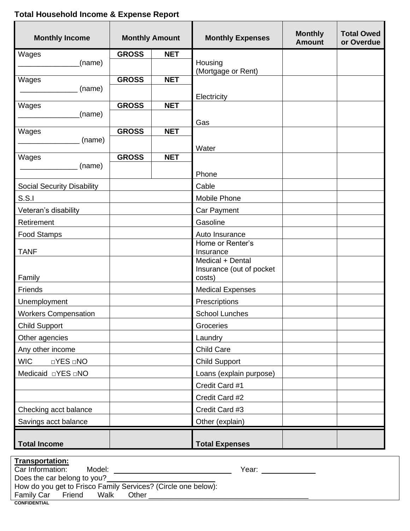# **Total Household Income & Expense Report**

| <b>Monthly Income</b>              | <b>Monthly Amount</b> |            | <b>Monthly Expenses</b>       | <b>Monthly</b><br><b>Amount</b> | <b>Total Owed</b><br>or Overdue |
|------------------------------------|-----------------------|------------|-------------------------------|---------------------------------|---------------------------------|
| Wages                              | <b>GROSS</b>          | <b>NET</b> |                               |                                 |                                 |
| (name)                             |                       |            | Housing<br>(Mortgage or Rent) |                                 |                                 |
| Wages                              | <b>GROSS</b>          | <b>NET</b> |                               |                                 |                                 |
| (name)                             |                       |            |                               |                                 |                                 |
| Wages                              | <b>GROSS</b>          | <b>NET</b> | Electricity                   |                                 |                                 |
| (name)                             |                       |            |                               |                                 |                                 |
|                                    |                       |            | Gas                           |                                 |                                 |
| Wages<br>(name)                    | <b>GROSS</b>          | <b>NET</b> |                               |                                 |                                 |
|                                    |                       |            | Water                         |                                 |                                 |
| Wages                              | <b>GROSS</b>          | <b>NET</b> |                               |                                 |                                 |
| (name)                             |                       |            | Phone                         |                                 |                                 |
| <b>Social Security Disability</b>  |                       |            | Cable                         |                                 |                                 |
| S.S.                               |                       |            | Mobile Phone                  |                                 |                                 |
| Veteran's disability               |                       |            | Car Payment                   |                                 |                                 |
| Retirement                         |                       |            | Gasoline                      |                                 |                                 |
| <b>Food Stamps</b>                 |                       |            | Auto Insurance                |                                 |                                 |
|                                    |                       |            | Home or Renter's              |                                 |                                 |
| <b>TANF</b>                        |                       |            | Insurance<br>Medical + Dental |                                 |                                 |
|                                    |                       |            | Insurance (out of pocket      |                                 |                                 |
| Family                             |                       |            | costs)                        |                                 |                                 |
| Friends                            |                       |            | <b>Medical Expenses</b>       |                                 |                                 |
| Unemployment                       |                       |            | Prescriptions                 |                                 |                                 |
| <b>Workers Compensation</b>        |                       |            | <b>School Lunches</b>         |                                 |                                 |
| <b>Child Support</b>               |                       |            | Groceries                     |                                 |                                 |
| Other agencies                     |                       |            | Laundry                       |                                 |                                 |
| Any other income                   |                       |            | <b>Child Care</b>             |                                 |                                 |
| <b>WIC</b><br>$\Box$ YES $\Box$ NO |                       |            | <b>Child Support</b>          |                                 |                                 |
| Medicaid <b>DYES</b> DNO           |                       |            | Loans (explain purpose)       |                                 |                                 |
|                                    |                       |            | Credit Card #1                |                                 |                                 |
|                                    |                       |            | Credit Card #2                |                                 |                                 |
| Checking acct balance              |                       |            | Credit Card #3                |                                 |                                 |
| Savings acct balance               |                       |            | Other (explain)               |                                 |                                 |
| <b>Total Income</b>                |                       |            | <b>Total Expenses</b>         |                                 |                                 |

| <b>Transportation:</b>                                        |       |  |  |  |
|---------------------------------------------------------------|-------|--|--|--|
| Car Information:<br>Model:                                    | Year: |  |  |  |
| Does the car belong to you?                                   |       |  |  |  |
| How do you get to Frisco Family Services? (Circle one below): |       |  |  |  |
| Walk<br>Friend<br>Other<br>Family Car                         |       |  |  |  |
| <b>CONFIDENTIAL</b>                                           |       |  |  |  |